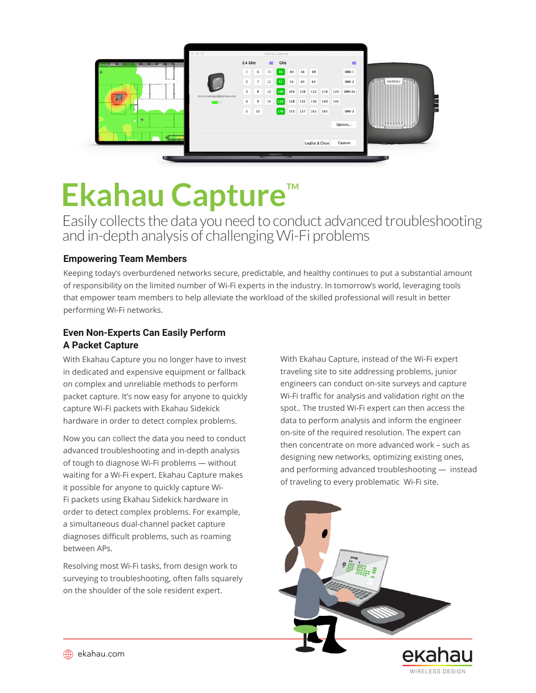

# **Ekahau Capture**"

Easily collects the data you need to conduct advanced troubleshooting and in-depth analysis of challenging Wi-Fi problems

# **Empowering Team Members**

Keeping today's overburdened networks secure, predictable, and healthy continues to put a substantial amount of responsibility on the limited number of Wi-Fi experts in the industry. In tomorrow's world, leveraging tools that empower team members to help alleviate the workload of the skilled professional will result in better performing Wi-Fi networks.

# **Even Non-Experts Can Easily Perform A Packet Capture**

With Ekahau Capture you no longer have to invest in dedicated and expensive equipment or fallback on complex and unreliable methods to perform packet capture. It's now easy for anyone to quickly capture Wi-Fi packets with Ekahau Sidekick hardware in order to detect complex problems.

Now you can collect the data you need to conduct advanced troubleshooting and in-depth analysis of tough to diagnose Wi-Fi problems — without waiting for a Wi-Fi expert. Ekahau Capture makes it possible for anyone to quickly capture Wi-Fi packets using Ekahau Sidekick hardware in order to detect complex problems. For example, a simultaneous dual-channel packet capture diagnoses difficult problems, such as roaming between APs.

Resolving most Wi-Fi tasks, from design work to surveying to troubleshooting, often falls squarely on the shoulder of the sole resident expert.

With Ekahau Capture, instead of the Wi-Fi expert traveling site to site addressing problems, junior engineers can conduct on-site surveys and capture Wi-Fi traffic for analysis and validation right on the spot.. The trusted Wi-Fi expert can then access the data to perform analysis and inform the engineer on-site of the required resolution. The expert can then concentrate on more advanced work – such as designing new networks, optimizing existing ones, and performing advanced troubleshooting — instead of traveling to every problematic Wi-Fi site.